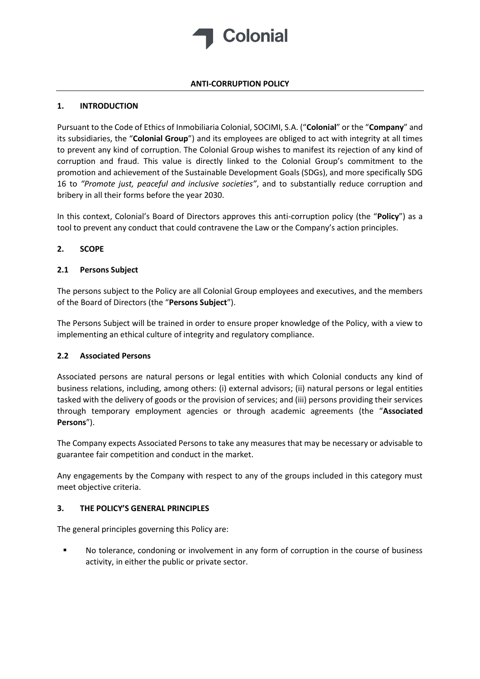

# **ANTI-CORRUPTION POLICY**

# **1. INTRODUCTION**

Pursuant to the Code of Ethics of Inmobiliaria Colonial, SOCIMI, S.A. ("**Colonial**" or the "**Company**" and its subsidiaries, the "**Colonial Group**") and its employees are obliged to act with integrity at all times to prevent any kind of corruption. The Colonial Group wishes to manifest its rejection of any kind of corruption and fraud. This value is directly linked to the Colonial Group's commitment to the promotion and achievement of the Sustainable Development Goals (SDGs), and more specifically SDG 16 to *"Promote just, peaceful and inclusive societies"*, and to substantially reduce corruption and bribery in all their forms before the year 2030.

In this context, Colonial's Board of Directors approves this anti-corruption policy (the "**Policy**") as a tool to prevent any conduct that could contravene the Law or the Company's action principles.

# **2. SCOPE**

#### **2.1 Persons Subject**

The persons subject to the Policy are all Colonial Group employees and executives, and the members of the Board of Directors (the "**Persons Subject**").

The Persons Subject will be trained in order to ensure proper knowledge of the Policy, with a view to implementing an ethical culture of integrity and regulatory compliance.

#### **2.2 Associated Persons**

Associated persons are natural persons or legal entities with which Colonial conducts any kind of business relations, including, among others: (i) external advisors; (ii) natural persons or legal entities tasked with the delivery of goods or the provision of services; and (iii) persons providing their services through temporary employment agencies or through academic agreements (the "**Associated Persons**").

The Company expects Associated Persons to take any measures that may be necessary or advisable to guarantee fair competition and conduct in the market.

Any engagements by the Company with respect to any of the groups included in this category must meet objective criteria.

# **3. THE POLICY'S GENERAL PRINCIPLES**

The general principles governing this Policy are:

No tolerance, condoning or involvement in any form of corruption in the course of business activity, in either the public or private sector.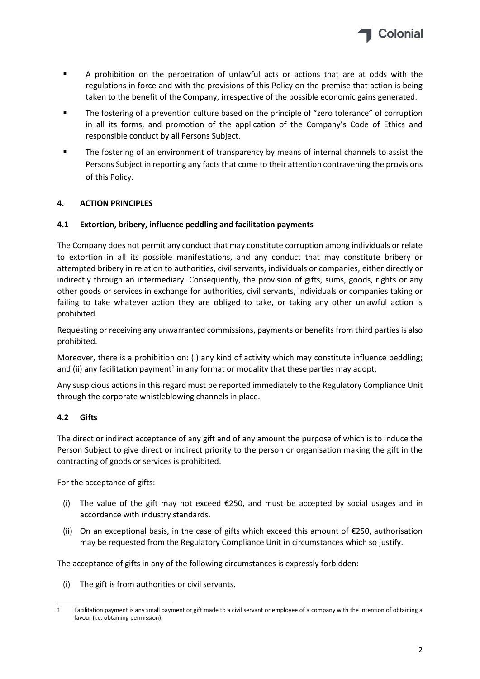

- A prohibition on the perpetration of unlawful acts or actions that are at odds with the regulations in force and with the provisions of this Policy on the premise that action is being taken to the benefit of the Company, irrespective of the possible economic gains generated.
- **•** The fostering of a prevention culture based on the principle of "zero tolerance" of corruption in all its forms, and promotion of the application of the Company's Code of Ethics and responsible conduct by all Persons Subject.
- The fostering of an environment of transparency by means of internal channels to assist the Persons Subject in reporting any facts that come to their attention contravening the provisions of this Policy.

# **4. ACTION PRINCIPLES**

# **4.1 Extortion, bribery, influence peddling and facilitation payments**

The Company does not permit any conduct that may constitute corruption among individuals or relate to extortion in all its possible manifestations, and any conduct that may constitute bribery or attempted bribery in relation to authorities, civil servants, individuals or companies, either directly or indirectly through an intermediary. Consequently, the provision of gifts, sums, goods, rights or any other goods or services in exchange for authorities, civil servants, individuals or companies taking or failing to take whatever action they are obliged to take, or taking any other unlawful action is prohibited.

Requesting or receiving any unwarranted commissions, payments or benefits from third parties is also prohibited.

Moreover, there is a prohibition on: (i) any kind of activity which may constitute influence peddling; and (ii) any facilitation payment<sup>1</sup> in any format or modality that these parties may adopt.

Any suspicious actions in this regard must be reported immediately to the Regulatory Compliance Unit through the corporate whistleblowing channels in place.

#### **4.2 Gifts**

The direct or indirect acceptance of any gift and of any amount the purpose of which is to induce the Person Subject to give direct or indirect priority to the person or organisation making the gift in the contracting of goods or services is prohibited.

For the acceptance of gifts:

- (i) The value of the gift may not exceed  $E$ 250, and must be accepted by social usages and in accordance with industry standards.
- (ii) On an exceptional basis, in the case of gifts which exceed this amount of €250, authorisation may be requested from the Regulatory Compliance Unit in circumstances which so justify.

The acceptance of gifts in any of the following circumstances is expressly forbidden:

(i) The gift is from authorities or civil servants.

<sup>1</sup> Facilitation payment is any small payment or gift made to a civil servant or employee of a company with the intention of obtaining a favour (i.e. obtaining permission).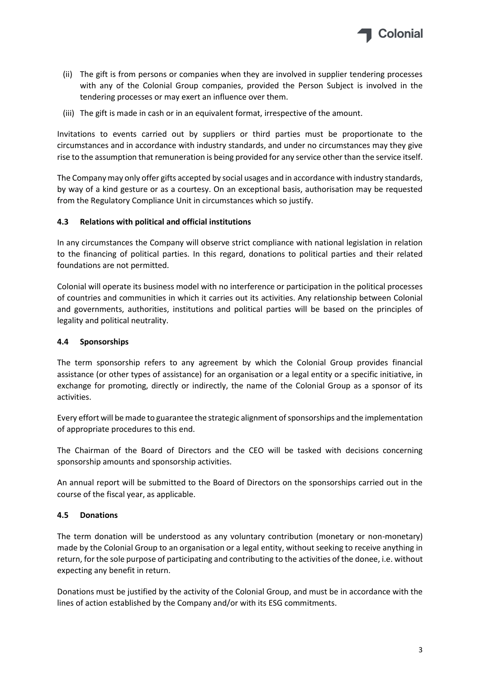

- (ii) The gift is from persons or companies when they are involved in supplier tendering processes with any of the Colonial Group companies, provided the Person Subject is involved in the tendering processes or may exert an influence over them.
- (iii) The gift is made in cash or in an equivalent format, irrespective of the amount.

Invitations to events carried out by suppliers or third parties must be proportionate to the circumstances and in accordance with industry standards, and under no circumstances may they give rise to the assumption that remuneration is being provided for any service other than the service itself.

The Company may only offer gifts accepted by social usages and in accordance with industry standards, by way of a kind gesture or as a courtesy. On an exceptional basis, authorisation may be requested from the Regulatory Compliance Unit in circumstances which so justify.

#### **4.3 Relations with political and official institutions**

In any circumstances the Company will observe strict compliance with national legislation in relation to the financing of political parties. In this regard, donations to political parties and their related foundations are not permitted.

Colonial will operate its business model with no interference or participation in the political processes of countries and communities in which it carries out its activities. Any relationship between Colonial and governments, authorities, institutions and political parties will be based on the principles of legality and political neutrality.

#### **4.4 Sponsorships**

The term sponsorship refers to any agreement by which the Colonial Group provides financial assistance (or other types of assistance) for an organisation or a legal entity or a specific initiative, in exchange for promoting, directly or indirectly, the name of the Colonial Group as a sponsor of its activities.

Every effort will be made to guarantee the strategic alignment of sponsorships and the implementation of appropriate procedures to this end.

The Chairman of the Board of Directors and the CEO will be tasked with decisions concerning sponsorship amounts and sponsorship activities.

An annual report will be submitted to the Board of Directors on the sponsorships carried out in the course of the fiscal year, as applicable.

#### **4.5 Donations**

The term donation will be understood as any voluntary contribution (monetary or non-monetary) made by the Colonial Group to an organisation or a legal entity, without seeking to receive anything in return, for the sole purpose of participating and contributing to the activities of the donee, i.e. without expecting any benefit in return.

Donations must be justified by the activity of the Colonial Group, and must be in accordance with the lines of action established by the Company and/or with its ESG commitments.